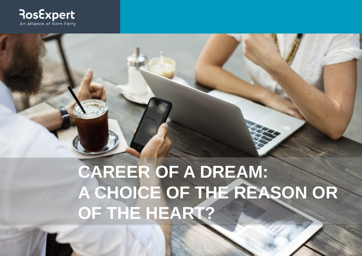

## **CAREER OF A DREAM: A CHOICE OF THE REASON OR OF THE HEART?**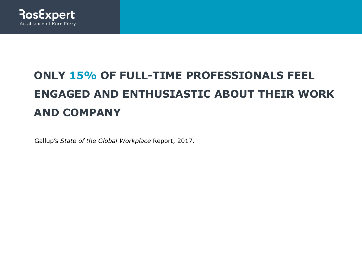

### **ONLY 15% OF FULL-TIME PROFESSIONALS FEEL ENGAGED AND ENTHUSIASTIC ABOUT THEIR WORK AND COMPANY**

Gallup's *State of the Global Workplace* Report, 2017.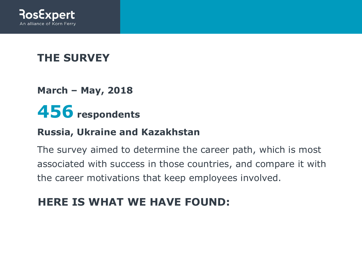

#### **THE SURVEY**

**March – May, 2018**

## **456 respondents**

#### **Russia, Ukraine and Kazakhstan**

The survey aimed to determine the career path, which is most associated with success in those countries, and compare it with the career motivations that keep employees involved.

#### **HERE IS WHAT WE HAVE FOUND:**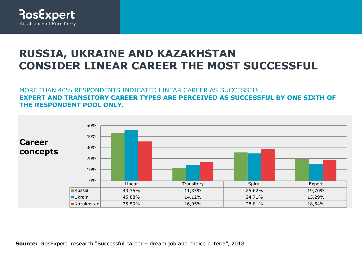

#### **RUSSIA, UKRAINE AND KAZAKHSTAN CONSIDER LINEAR CAREER THE MOST SUCCESSFUL**

MORE THAN 40% RESPONDENTS INDICATED LINEAR CAREER AS SUCCESSFUL. **EXPERT AND TRANSITORY CAREER TYPES ARE PERCEIVED AS SUCCESSFUL BY ONE SIXTH OF THE RESPONDENT POOL ONLY.**

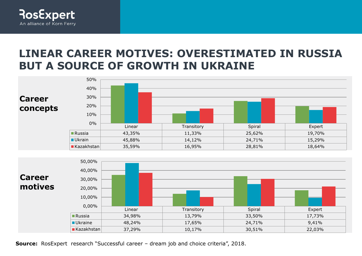

#### **LINEAR CAREER MOTIVES: OVERESTIMATED IN RUSSIA BUT A SOURCE OF GROWTH IN UKRAINE**



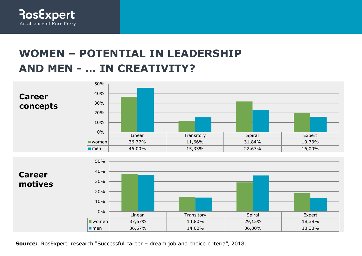

#### **WOMEN – POTENTIAL IN LEADERSHIP AND MEN - … IN CREATIVITY?**



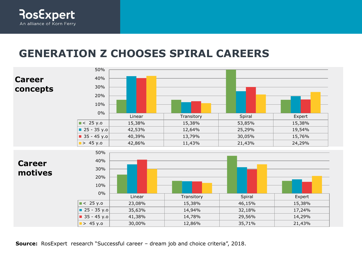

#### **GENERATION Z CHOOSES SPIRAL CAREERS**

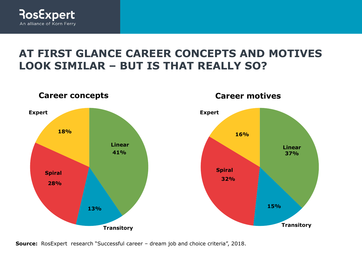

#### **AT FIRST GLANCE CAREER CONCEPTS AND MOTIVES LOOK SIMILAR – BUT IS THAT REALLY SO?**

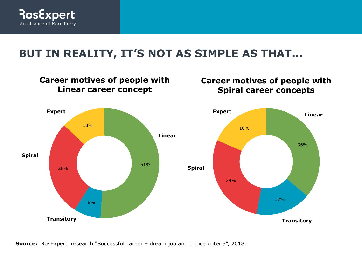

#### **BUT IN REALITY, IT'S NOT AS SIMPLE AS THAT...**

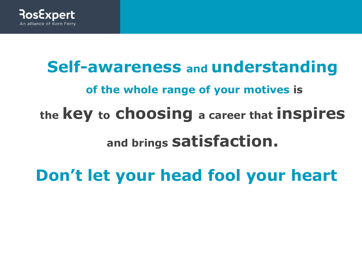

# **Self-awareness and understanding of the whole range of your motives is the key to choosing a career that inspires and brings satisfaction.**

**Don't let your head fool your heart**